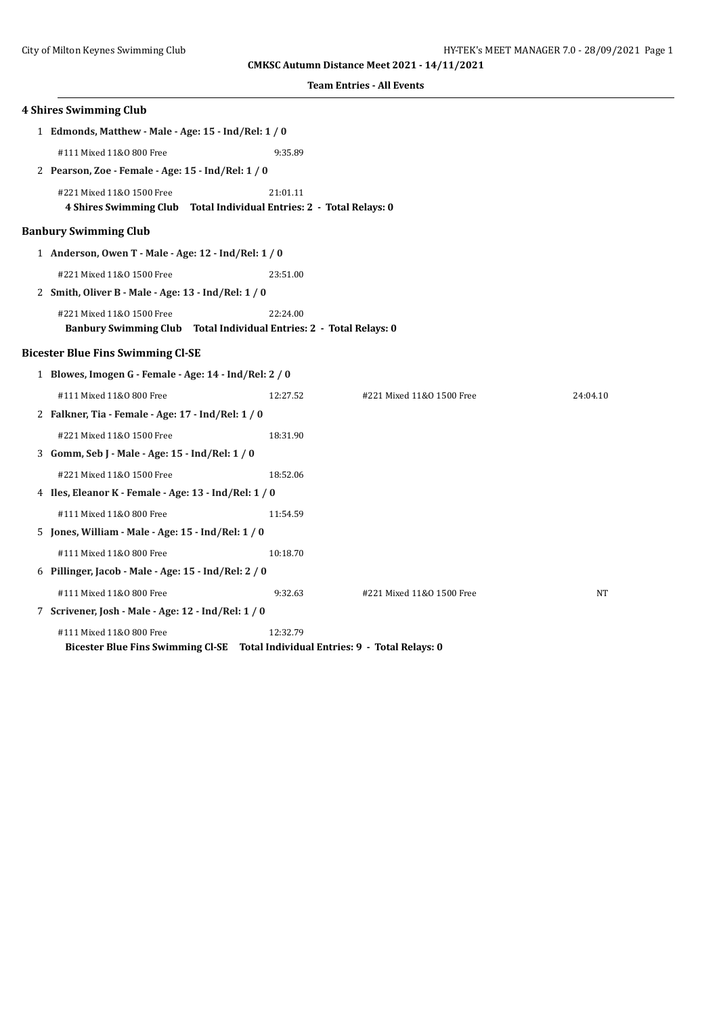| <b>4 Shires Swimming Club</b>                                                   |          |                           |           |
|---------------------------------------------------------------------------------|----------|---------------------------|-----------|
| 1 Edmonds, Matthew - Male - Age: 15 - Ind/Rel: 1 / 0                            |          |                           |           |
| #111 Mixed 11&0 800 Free                                                        | 9:35.89  |                           |           |
| 2 Pearson, Zoe - Female - Age: 15 - Ind/Rel: 1 / 0                              |          |                           |           |
| #221 Mixed 11&0 1500 Free                                                       | 21:01.11 |                           |           |
| 4 Shires Swimming Club Total Individual Entries: 2 - Total Relays: 0            |          |                           |           |
| <b>Banbury Swimming Club</b>                                                    |          |                           |           |
| 1 Anderson, Owen T - Male - Age: 12 - Ind/Rel: 1 / 0                            |          |                           |           |
| #221 Mixed 11&0 1500 Free                                                       | 23:51.00 |                           |           |
| 2 Smith, Oliver B - Male - Age: 13 - Ind/Rel: 1 / 0                             |          |                           |           |
| #221 Mixed 11&0 1500 Free                                                       | 22:24.00 |                           |           |
| Banbury Swimming Club Total Individual Entries: 2 - Total Relays: 0             |          |                           |           |
| <b>Bicester Blue Fins Swimming Cl-SE</b>                                        |          |                           |           |
| 1 Blowes, Imogen G - Female - Age: 14 - Ind/Rel: 2 / 0                          |          |                           |           |
| #111 Mixed 11&0 800 Free                                                        | 12:27.52 | #221 Mixed 11&0 1500 Free | 24:04.10  |
| 2 Falkner, Tia - Female - Age: 17 - Ind/Rel: 1 / 0                              |          |                           |           |
| #221 Mixed 11&0 1500 Free                                                       | 18:31.90 |                           |           |
| 3 Gomm, Seb J - Male - Age: 15 - Ind/Rel: 1 / 0                                 |          |                           |           |
| #221 Mixed 11&0 1500 Free                                                       | 18:52.06 |                           |           |
| 4 Iles, Eleanor K - Female - Age: 13 - Ind/Rel: 1 / 0                           |          |                           |           |
| #111 Mixed 11&0 800 Free                                                        | 11:54.59 |                           |           |
| 5 Jones, William - Male - Age: 15 - Ind/Rel: 1 / 0                              |          |                           |           |
| #111 Mixed 11&0 800 Free                                                        | 10:18.70 |                           |           |
| 6 Pillinger, Jacob - Male - Age: 15 - Ind/Rel: 2 / 0                            |          |                           |           |
| #111 Mixed 11&0 800 Free                                                        | 9:32.63  | #221 Mixed 11&0 1500 Free | <b>NT</b> |
| 7 Scrivener, Josh - Male - Age: 12 - Ind/Rel: 1 / 0                             |          |                           |           |
| #111 Mixed 11&0 800 Free                                                        | 12:32.79 |                           |           |
| Bicester Blue Fins Swimming Cl-SE Total Individual Entries: 9 - Total Relays: 0 |          |                           |           |
|                                                                                 |          |                           |           |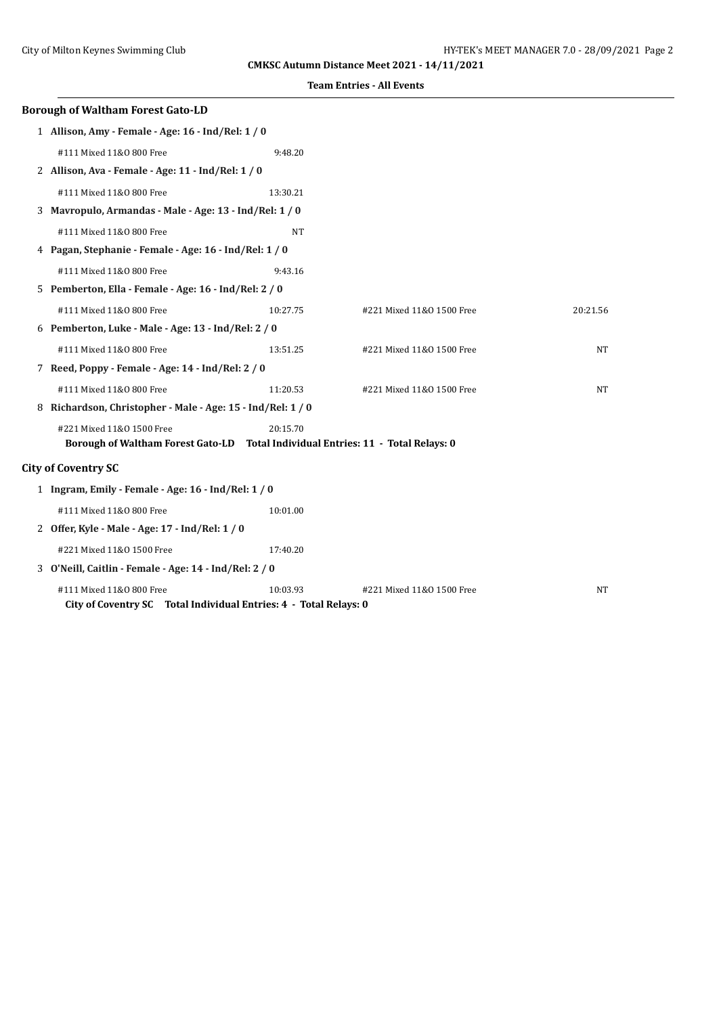| <b>Borough of Waltham Forest Gato-LD</b>                                                      |           |                           |          |  |
|-----------------------------------------------------------------------------------------------|-----------|---------------------------|----------|--|
| 1 Allison, Amy - Female - Age: 16 - Ind/Rel: 1 / 0                                            |           |                           |          |  |
| #111 Mixed 11&0 800 Free                                                                      | 9:48.20   |                           |          |  |
| 2 Allison, Ava - Female - Age: 11 - Ind/Rel: 1 / 0                                            |           |                           |          |  |
| #111 Mixed 11&0 800 Free                                                                      | 13:30.21  |                           |          |  |
| 3 Mavropulo, Armandas - Male - Age: 13 - Ind/Rel: 1 / 0                                       |           |                           |          |  |
| #111 Mixed 11&0 800 Free                                                                      | <b>NT</b> |                           |          |  |
| 4 Pagan, Stephanie - Female - Age: 16 - Ind/Rel: 1 / 0                                        |           |                           |          |  |
| #111 Mixed 11&0 800 Free                                                                      | 9:43.16   |                           |          |  |
| 5 Pemberton, Ella - Female - Age: 16 - Ind/Rel: 2 / 0                                         |           |                           |          |  |
| #111 Mixed 11&0 800 Free                                                                      | 10:27.75  | #221 Mixed 11&0 1500 Free | 20:21.56 |  |
| 6 Pemberton, Luke - Male - Age: 13 - Ind/Rel: 2 / 0                                           |           |                           |          |  |
| #111 Mixed 11&0 800 Free                                                                      | 13:51.25  | #221 Mixed 11&0 1500 Free | NT       |  |
| 7 Reed, Poppy - Female - Age: 14 - Ind/Rel: 2 / 0                                             |           |                           |          |  |
| #111 Mixed 11&0 800 Free                                                                      | 11:20.53  | #221 Mixed 11&0 1500 Free | NT       |  |
| 8 Richardson, Christopher - Male - Age: 15 - Ind/Rel: 1 / 0                                   |           |                           |          |  |
| #221 Mixed 11&0 1500 Free                                                                     | 20:15.70  |                           |          |  |
| Borough of Waltham Forest Gato-LD Total Individual Entries: 11 - Total Relays: 0              |           |                           |          |  |
| <b>City of Coventry SC</b>                                                                    |           |                           |          |  |
| 1 Ingram, Emily - Female - Age: 16 - Ind/Rel: 1 / 0                                           |           |                           |          |  |
| #111 Mixed 11&0 800 Free                                                                      | 10:01.00  |                           |          |  |
| 2 Offer, Kyle - Male - Age: 17 - Ind/Rel: 1 / 0                                               |           |                           |          |  |
| #221 Mixed 11&0 1500 Free                                                                     | 17:40.20  |                           |          |  |
| 3 O'Neill, Caitlin - Female - Age: 14 - Ind/Rel: 2 / 0                                        |           |                           |          |  |
| #111 Mixed 11&0 800 Free<br>City of Coventry SC Total Individual Entries: 4 - Total Relays: 0 | 10:03.93  | #221 Mixed 11&0 1500 Free | NT       |  |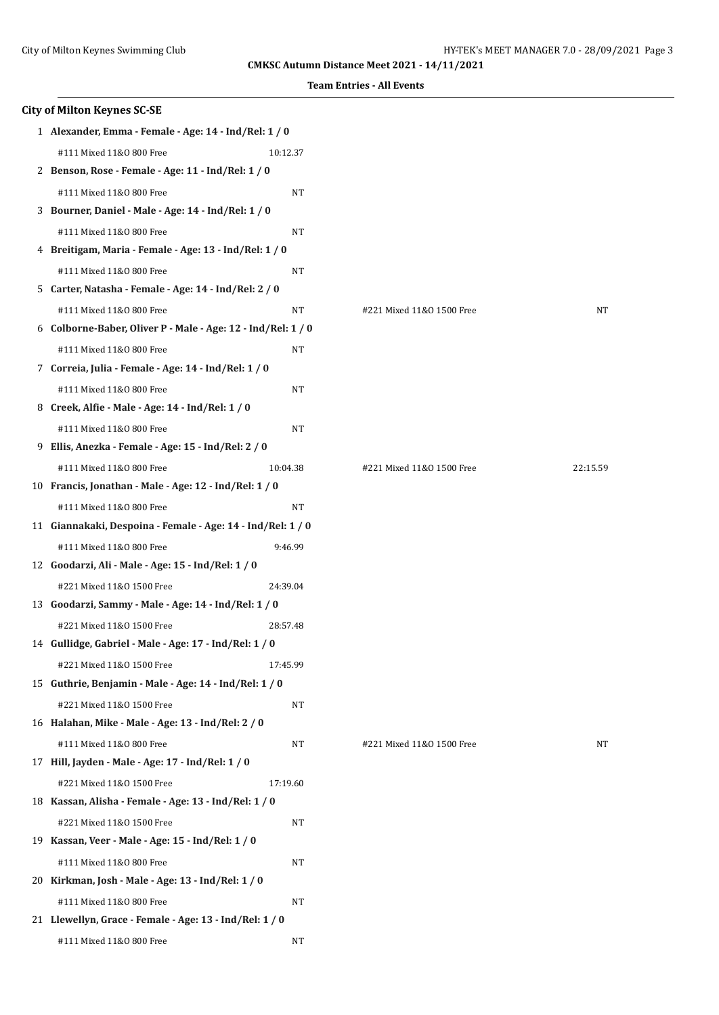|    | <b>City of Milton Keynes SC-SE</b>                           |           |                           |          |
|----|--------------------------------------------------------------|-----------|---------------------------|----------|
|    | 1 Alexander, Emma - Female - Age: 14 - Ind/Rel: 1 / 0        |           |                           |          |
|    | #111 Mixed 11&0 800 Free                                     | 10:12.37  |                           |          |
|    | 2 Benson, Rose - Female - Age: 11 - Ind/Rel: 1 / 0           |           |                           |          |
|    | #111 Mixed 11&0 800 Free                                     | NT        |                           |          |
|    | 3 Bourner, Daniel - Male - Age: 14 - Ind/Rel: 1 / 0          |           |                           |          |
|    | #111 Mixed 11&0 800 Free                                     | NT        |                           |          |
|    | 4 Breitigam, Maria - Female - Age: 13 - Ind/Rel: 1 / 0       |           |                           |          |
|    | #111 Mixed 11&0 800 Free                                     | NT        |                           |          |
|    | 5 Carter, Natasha - Female - Age: 14 - Ind/Rel: 2 / 0        |           |                           |          |
|    | #111 Mixed 11&0 800 Free                                     | NT        | #221 Mixed 11&0 1500 Free | NT       |
|    | 6 Colborne-Baber, Oliver P - Male - Age: 12 - Ind/Rel: 1 / 0 |           |                           |          |
|    | #111 Mixed 11&0 800 Free                                     | $\rm{NT}$ |                           |          |
|    | 7 Correia, Julia - Female - Age: 14 - Ind/Rel: 1 / 0         |           |                           |          |
|    | #111 Mixed 11&0 800 Free                                     | NT        |                           |          |
|    | 8 Creek, Alfie - Male - Age: 14 - Ind/Rel: 1 / 0             |           |                           |          |
|    | #111 Mixed 11&0 800 Free                                     | NT        |                           |          |
| 9. | Ellis, Anezka - Female - Age: 15 - Ind/Rel: 2 / 0            |           |                           |          |
|    | #111 Mixed 11&0 800 Free                                     | 10:04.38  | #221 Mixed 11&0 1500 Free | 22:15.59 |
|    | 10 Francis, Jonathan - Male - Age: 12 - Ind/Rel: 1 / 0       |           |                           |          |
|    | #111 Mixed 11&0 800 Free                                     | NT        |                           |          |
|    | 11 Giannakaki, Despoina - Female - Age: 14 - Ind/Rel: 1 / 0  |           |                           |          |
|    | #111 Mixed 11&0 800 Free                                     | 9:46.99   |                           |          |
|    | 12 Goodarzi, Ali - Male - Age: 15 - Ind/Rel: 1 / 0           |           |                           |          |
|    | #221 Mixed 11&0 1500 Free                                    | 24:39.04  |                           |          |
|    | 13 Goodarzi, Sammy - Male - Age: 14 - Ind/Rel: 1 / 0         |           |                           |          |
|    | #221 Mixed 11&0 1500 Free                                    | 28:57.48  |                           |          |
|    | 14 Gullidge, Gabriel - Male - Age: 17 - Ind/Rel: 1 / 0       |           |                           |          |
|    | #221 Mixed 11&0 1500 Free                                    | 17:45.99  |                           |          |
|    | 15 Guthrie, Benjamin - Male - Age: 14 - Ind/Rel: 1 / 0       |           |                           |          |
|    | #221 Mixed 11&0 1500 Free                                    | NT        |                           |          |
|    | 16 Halahan, Mike - Male - Age: 13 - Ind/Rel: 2 / 0           |           |                           |          |
|    | #111 Mixed 11&0 800 Free                                     | NT        | #221 Mixed 11&0 1500 Free | NΤ       |
|    | 17 Hill, Jayden - Male - Age: 17 - Ind/Rel: 1 / 0            |           |                           |          |
|    | #221 Mixed 11&0 1500 Free                                    | 17:19.60  |                           |          |
|    | 18 Kassan, Alisha - Female - Age: 13 - Ind/Rel: 1 / 0        |           |                           |          |
|    | #221 Mixed 11&0 1500 Free                                    | NT        |                           |          |
|    | 19 Kassan, Veer - Male - Age: 15 - Ind/Rel: 1 / 0            |           |                           |          |
|    | #111 Mixed 11&0 800 Free                                     | NT        |                           |          |
|    | 20 Kirkman, Josh - Male - Age: 13 - Ind/Rel: 1 / 0           |           |                           |          |
|    | #111 Mixed 11&0 800 Free                                     | NT        |                           |          |
|    | 21 Llewellyn, Grace - Female - Age: 13 - Ind/Rel: 1 / 0      |           |                           |          |
|    | #111 Mixed 11&0 800 Free                                     | NT        |                           |          |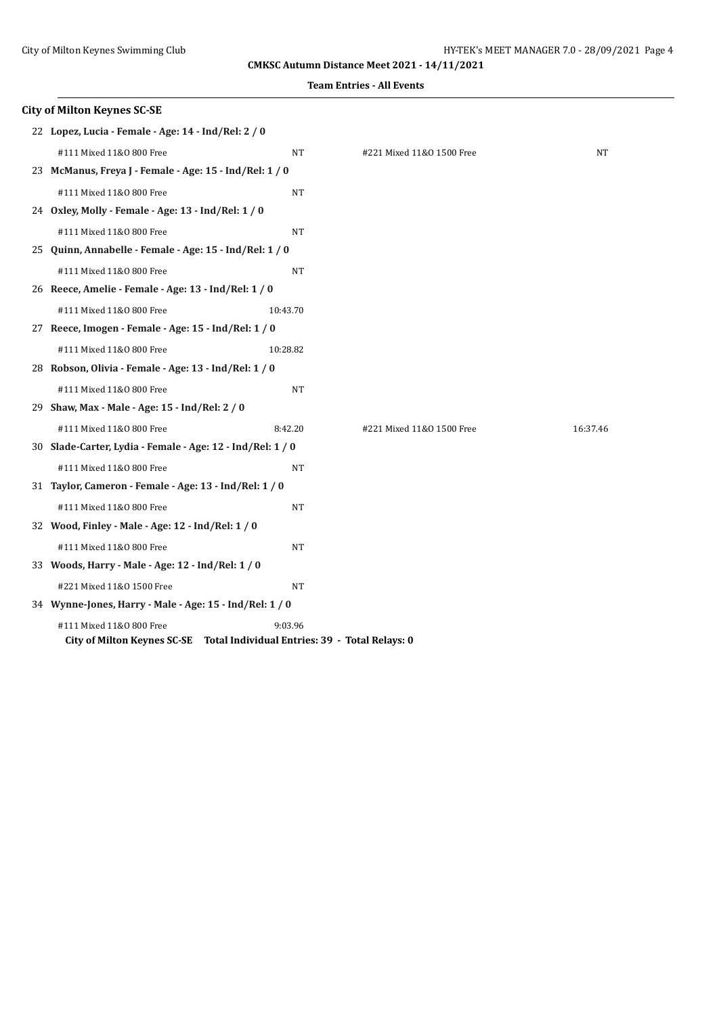| <b>City of Milton Keynes SC-SE</b>                         |                                                                                       |                           |          |
|------------------------------------------------------------|---------------------------------------------------------------------------------------|---------------------------|----------|
| 22 Lopez, Lucia - Female - Age: 14 - Ind/Rel: 2 / 0        |                                                                                       |                           |          |
| #111 Mixed 11&0 800 Free                                   | NT                                                                                    | #221 Mixed 11&0 1500 Free | NT       |
| 23 McManus, Freya J - Female - Age: 15 - Ind/Rel: 1 / 0    |                                                                                       |                           |          |
| #111 Mixed 11&0 800 Free                                   | <b>NT</b>                                                                             |                           |          |
| 24 Oxley, Molly - Female - Age: 13 - Ind/Rel: 1 / 0        |                                                                                       |                           |          |
| #111 Mixed 11&0 800 Free                                   | NT                                                                                    |                           |          |
| 25 Quinn, Annabelle - Female - Age: 15 - Ind/Rel: 1 / 0    |                                                                                       |                           |          |
| #111 Mixed 11&0 800 Free                                   | <b>NT</b>                                                                             |                           |          |
| 26 Reece, Amelie - Female - Age: 13 - Ind/Rel: 1 / 0       |                                                                                       |                           |          |
| #111 Mixed 11&0 800 Free                                   | 10:43.70                                                                              |                           |          |
| 27 Reece, Imogen - Female - Age: 15 - Ind/Rel: 1 / 0       |                                                                                       |                           |          |
| #111 Mixed 11&0 800 Free                                   | 10:28.82                                                                              |                           |          |
| 28 Robson, Olivia - Female - Age: 13 - Ind/Rel: 1 / 0      |                                                                                       |                           |          |
| #111 Mixed 11&0 800 Free                                   | <b>NT</b>                                                                             |                           |          |
| 29 Shaw, Max - Male - Age: 15 - Ind/Rel: 2 / 0             |                                                                                       |                           |          |
| #111 Mixed 11&0 800 Free                                   | 8:42.20                                                                               | #221 Mixed 11&0 1500 Free | 16:37.46 |
| 30 Slade-Carter, Lydia - Female - Age: 12 - Ind/Rel: 1 / 0 |                                                                                       |                           |          |
| #111 Mixed 11&0 800 Free                                   | <b>NT</b>                                                                             |                           |          |
| 31 Taylor, Cameron - Female - Age: 13 - Ind/Rel: 1 / 0     |                                                                                       |                           |          |
| #111 Mixed 11&0 800 Free                                   | NT                                                                                    |                           |          |
| 32 Wood, Finley - Male - Age: 12 - Ind/Rel: 1 / 0          |                                                                                       |                           |          |
| #111 Mixed 11&0 800 Free                                   | NT                                                                                    |                           |          |
| 33 Woods, Harry - Male - Age: 12 - Ind/Rel: 1 / 0          |                                                                                       |                           |          |
| #221 Mixed 11&0 1500 Free                                  | <b>NT</b>                                                                             |                           |          |
| 34 Wynne-Jones, Harry - Male - Age: 15 - Ind/Rel: 1 / 0    |                                                                                       |                           |          |
| #111 Mixed 11&0 800 Free                                   | 9:03.96<br>City of Milton Keynes SC-SE Total Individual Entries: 39 - Total Relays: 0 |                           |          |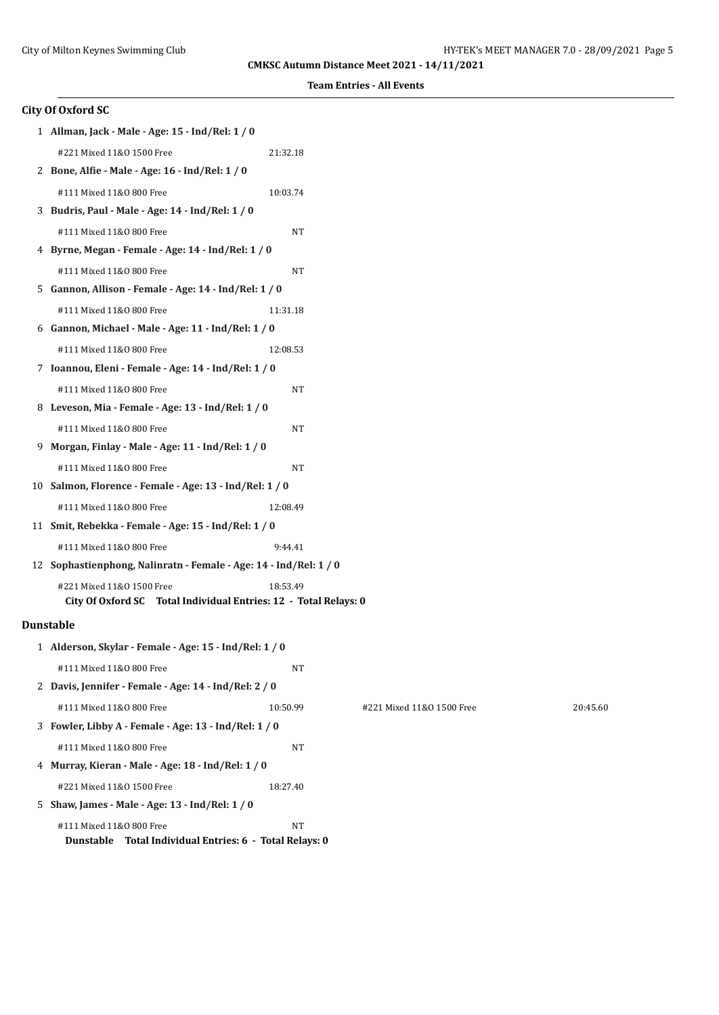**Team Entries - All Events**

## **City Of Oxford SC**

| 1 Allman, Jack - Male - Age: 15 - Ind/Rel: 1 / 0                                              |           |                           |          |
|-----------------------------------------------------------------------------------------------|-----------|---------------------------|----------|
| #221 Mixed 11&0 1500 Free                                                                     | 21:32.18  |                           |          |
| 2 Bone, Alfie - Male - Age: 16 - Ind/Rel: 1 / 0                                               |           |                           |          |
| #111 Mixed 11&0 800 Free                                                                      | 10:03.74  |                           |          |
| 3 Budris, Paul - Male - Age: 14 - Ind/Rel: 1 / 0                                              |           |                           |          |
| #111 Mixed 11&0 800 Free                                                                      | NT        |                           |          |
| 4 Byrne, Megan - Female - Age: 14 - Ind/Rel: 1 / 0                                            |           |                           |          |
| #111 Mixed 11&0 800 Free                                                                      | NT        |                           |          |
| 5 Gannon, Allison - Female - Age: 14 - Ind/Rel: 1 / 0                                         |           |                           |          |
| #111 Mixed 11&0 800 Free                                                                      | 11:31.18  |                           |          |
| 6 Gannon, Michael - Male - Age: 11 - Ind/Rel: 1 / 0                                           |           |                           |          |
| #111 Mixed 11&0 800 Free                                                                      | 12:08.53  |                           |          |
| 7 Ioannou, Eleni - Female - Age: 14 - Ind/Rel: 1 / 0                                          |           |                           |          |
| #111 Mixed 11&0 800 Free                                                                      | NT        |                           |          |
| 8 Leveson, Mia - Female - Age: 13 - Ind/Rel: 1 / 0                                            |           |                           |          |
| #111 Mixed 11&0 800 Free                                                                      | NT        |                           |          |
| 9 Morgan, Finlay - Male - Age: 11 - Ind/Rel: 1 / 0                                            |           |                           |          |
| #111 Mixed 11&0 800 Free                                                                      | <b>NT</b> |                           |          |
| 10 Salmon, Florence - Female - Age: 13 - Ind/Rel: 1 / 0                                       |           |                           |          |
| #111 Mixed 11&0 800 Free                                                                      | 12:08.49  |                           |          |
| 11 Smit, Rebekka - Female - Age: 15 - Ind/Rel: 1 / 0                                          |           |                           |          |
| #111 Mixed 11&0 800 Free                                                                      | 9:44.41   |                           |          |
| 12 Sophastienphong, Nalinratn - Female - Age: 14 - Ind/Rel: 1 / 0                             |           |                           |          |
| #221 Mixed 11&0 1500 Free<br>City Of Oxford SC Total Individual Entries: 12 - Total Relays: 0 | 18:53.49  |                           |          |
| <b>Dunstable</b>                                                                              |           |                           |          |
| 1 Alderson, Skylar - Female - Age: 15 - Ind/Rel: 1 / 0                                        |           |                           |          |
| #111 Mixed 11&0 800 Free                                                                      | NT        |                           |          |
| 2 Davis, Jennifer - Female - Age: 14 - Ind/Rel: 2 / 0                                         |           |                           |          |
| #111 Mixed 11&0 800 Free                                                                      | 10:50.99  | #221 Mixed 11&0 1500 Free | 20:45.60 |
| 3 Fowler, Libby A - Female - Age: 13 - Ind/Rel: 1 / 0                                         |           |                           |          |
| #111 Mixed 11&0 800 Free                                                                      | NT        |                           |          |
| 4 Murray, Kieran - Male - Age: 18 - Ind/Rel: 1 / 0                                            |           |                           |          |
| #221 Mixed 11&0 1500 Free                                                                     | 18:27.40  |                           |          |
|                                                                                               |           |                           |          |

 5 **Shaw, James - Male - Age: 13 - Ind/Rel: 1 / 0** #111 Mixed 11&0 800 Free NT

**Dunstable Total Individual Entries: 6 - Total Relays: 0**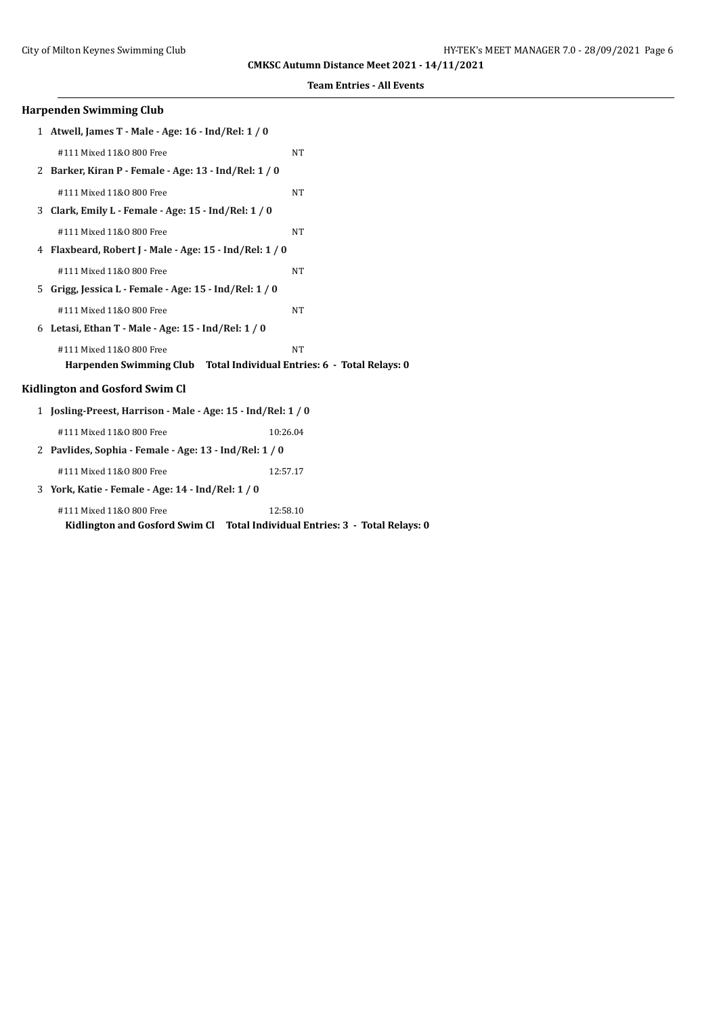| <b>Harpenden Swimming Club</b>                               |                                                                              |  |
|--------------------------------------------------------------|------------------------------------------------------------------------------|--|
| 1 Atwell, James T - Male - Age: 16 - Ind/Rel: 1 / 0          |                                                                              |  |
| #111 Mixed 11&0 800 Free                                     | <b>NT</b>                                                                    |  |
| 2 Barker, Kiran P - Female - Age: 13 - Ind/Rel: 1 / 0        |                                                                              |  |
| #111 Mixed 11&0 800 Free                                     | <b>NT</b>                                                                    |  |
| 3 Clark, Emily L - Female - Age: 15 - Ind/Rel: 1 / 0         |                                                                              |  |
| #111 Mixed 11&0 800 Free                                     | <b>NT</b>                                                                    |  |
| 4 Flaxbeard, Robert J - Male - Age: 15 - Ind/Rel: 1 / 0      |                                                                              |  |
| #111 Mixed 11&0 800 Free                                     | <b>NT</b>                                                                    |  |
| 5 Grigg, Jessica L - Female - Age: 15 - Ind/Rel: 1 / 0       |                                                                              |  |
| #111 Mixed 11&0 800 Free                                     | <b>NT</b>                                                                    |  |
| 6 Letasi, Ethan T - Male - Age: 15 - Ind/Rel: 1 / 0          |                                                                              |  |
| #111 Mixed 11&0 800 Free                                     | <b>NT</b>                                                                    |  |
|                                                              | Harpenden Swimming Club Total Individual Entries: 6 - Total Relays: 0        |  |
| <b>Kidlington and Gosford Swim Cl</b>                        |                                                                              |  |
| 1 Josling-Preest, Harrison - Male - Age: 15 - Ind/Rel: 1 / 0 |                                                                              |  |
| #111 Mixed 11&0 800 Free                                     | 10:26.04                                                                     |  |
| 2 Pavlides, Sophia - Female - Age: 13 - Ind/Rel: 1 / 0       |                                                                              |  |
| #111 Mixed 11&0 800 Free                                     | 12:57.17                                                                     |  |
| 3 York, Katie - Female - Age: 14 - Ind/Rel: 1 / 0            |                                                                              |  |
| #111 Mixed 11&0 800 Free                                     | 12:58.10                                                                     |  |
|                                                              | Kidlington and Gosford Swim Cl Total Individual Entries: 3 - Total Relays: 0 |  |
|                                                              |                                                                              |  |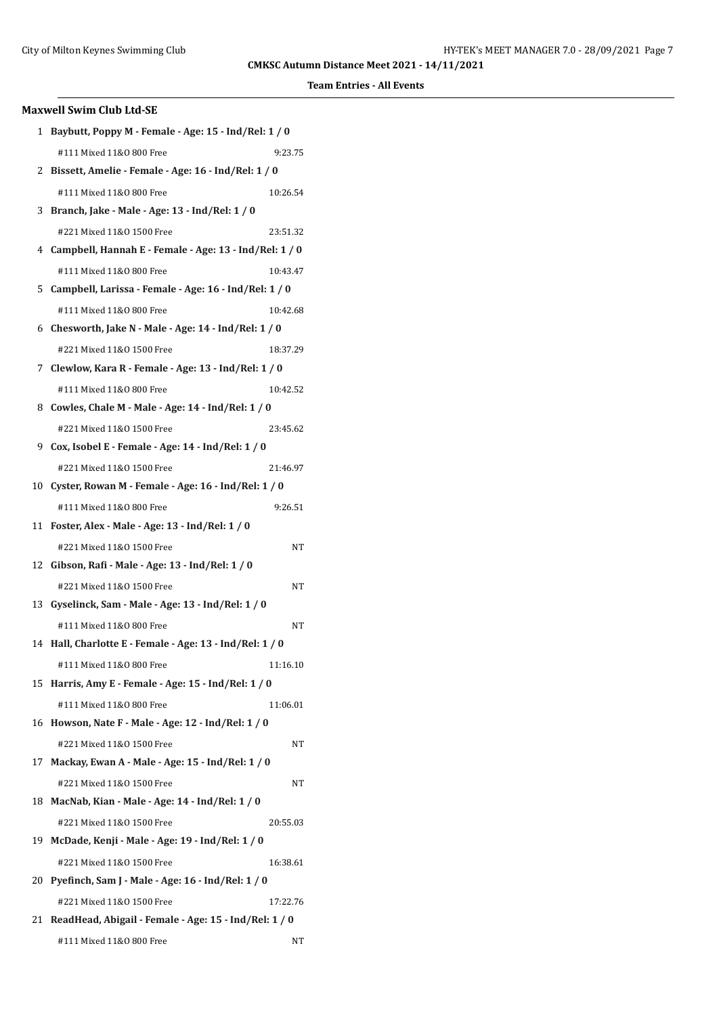| <b>Maxwell Swim Club Ltd-SE</b> |                                                          |  |  |  |
|---------------------------------|----------------------------------------------------------|--|--|--|
|                                 | 1 Baybutt, Poppy M - Female - Age: 15 - Ind/Rel: 1 / 0   |  |  |  |
|                                 | #111 Mixed 11&0 800 Free<br>9:23.75                      |  |  |  |
|                                 | 2 Bissett, Amelie - Female - Age: 16 - Ind/Rel: 1 / 0    |  |  |  |
|                                 | #111 Mixed 11&0 800 Free<br>10:26.54                     |  |  |  |
| 3                               | Branch, Jake - Male - Age: 13 - Ind/Rel: 1 / 0           |  |  |  |
|                                 | #221 Mixed 11&0 1500 Free<br>23:51.32                    |  |  |  |
|                                 | 4 Campbell, Hannah E - Female - Age: 13 - Ind/Rel: 1 / 0 |  |  |  |
|                                 | #111 Mixed 11&0 800 Free<br>10:43.47                     |  |  |  |
|                                 | 5 Campbell, Larissa - Female - Age: 16 - Ind/Rel: 1 / 0  |  |  |  |
|                                 | #111 Mixed 11&0 800 Free<br>10:42.68                     |  |  |  |
|                                 | 6 Chesworth, Jake N - Male - Age: 14 - Ind/Rel: 1 / 0    |  |  |  |
|                                 | #221 Mixed 11&0 1500 Free<br>18:37.29                    |  |  |  |
|                                 | 7 Clewlow, Kara R - Female - Age: 13 - Ind/Rel: 1 / 0    |  |  |  |
|                                 | #111 Mixed 11&0 800 Free<br>10:42.52                     |  |  |  |
|                                 | 8 Cowles, Chale M - Male - Age: 14 - Ind/Rel: 1 / 0      |  |  |  |
|                                 | #221 Mixed 11&0 1500 Free<br>23:45.62                    |  |  |  |
|                                 | 9 Cox, Isobel E - Female - Age: 14 - Ind/Rel: 1 / 0      |  |  |  |
|                                 | #221 Mixed 11&0 1500 Free<br>21:46.97                    |  |  |  |
| 10                              | Cyster, Rowan M - Female - Age: 16 - Ind/Rel: 1 / 0      |  |  |  |
|                                 | #111 Mixed 11&0 800 Free<br>9:26.51                      |  |  |  |
|                                 | 11 Foster, Alex - Male - Age: 13 - Ind/Rel: 1 / 0        |  |  |  |
|                                 | #221 Mixed 11&0 1500 Free<br>NT                          |  |  |  |
| 12                              | Gibson, Rafi - Male - Age: 13 - Ind/Rel: 1 / 0           |  |  |  |
|                                 | #221 Mixed 11&0 1500 Free<br>NT                          |  |  |  |
|                                 | 13 Gyselinck, Sam - Male - Age: 13 - Ind/Rel: 1 / 0      |  |  |  |
|                                 | #111 Mixed 11&0 800 Free<br>NT                           |  |  |  |
|                                 | 14 Hall, Charlotte E - Female - Age: 13 - Ind/Rel: 1 / 0 |  |  |  |
|                                 | #111 Mixed 11&0 800 Free<br>11:16.10                     |  |  |  |
| 15                              | Harris, Amy E - Female - Age: 15 - Ind/Rel: 1 / 0        |  |  |  |
|                                 | #111 Mixed 11&0 800 Free<br>11:06.01                     |  |  |  |
| 16                              | Howson, Nate F - Male - Age: 12 - Ind/Rel: 1 / 0         |  |  |  |
|                                 | #221 Mixed 11&0 1500 Free<br>NT                          |  |  |  |
|                                 | 17 Mackay, Ewan A - Male - Age: 15 - Ind/Rel: 1 / 0      |  |  |  |
|                                 | #221 Mixed 11&0 1500 Free<br>NT                          |  |  |  |
|                                 | 18 MacNab, Kian - Male - Age: 14 - Ind/Rel: 1 / 0        |  |  |  |
|                                 | #221 Mixed 11&0 1500 Free<br>20:55.03                    |  |  |  |
| 19                              | McDade, Kenji - Male - Age: 19 - Ind/Rel: 1 / 0          |  |  |  |
|                                 | #221 Mixed 11&0 1500 Free<br>16:38.61                    |  |  |  |
| 20                              | Pyefinch, Sam J - Male - Age: 16 - Ind/Rel: 1 / 0        |  |  |  |
|                                 | #221 Mixed 11&0 1500 Free<br>17:22.76                    |  |  |  |
| 21                              | ReadHead, Abigail - Female - Age: 15 - Ind/Rel: 1 / 0    |  |  |  |
|                                 | #111 Mixed 11&0 800 Free<br>NT                           |  |  |  |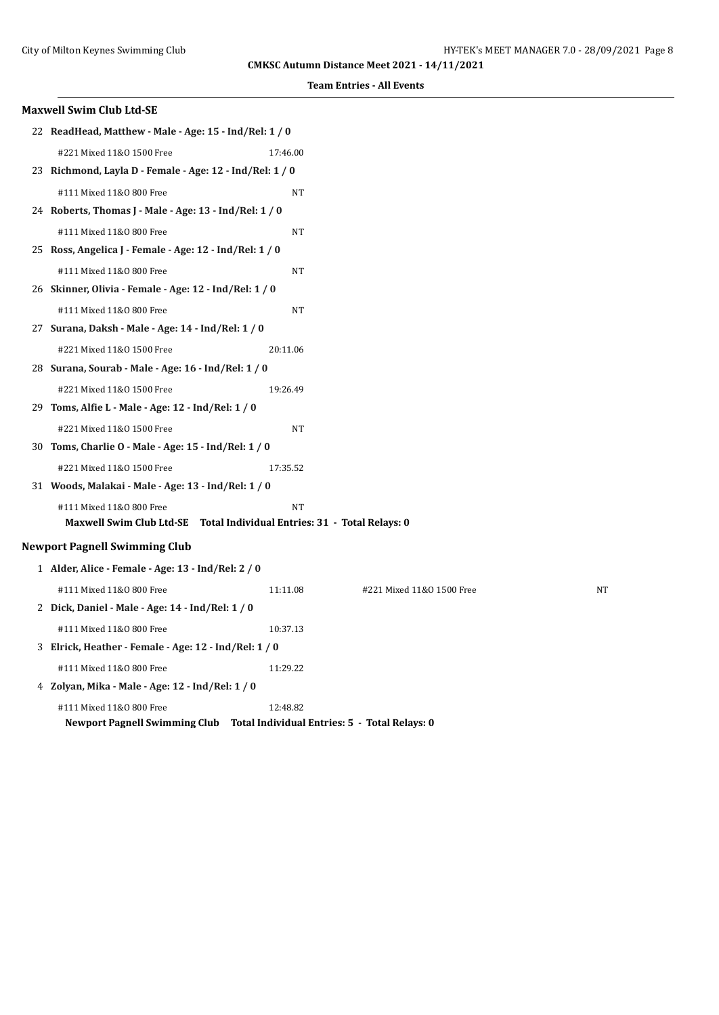| <b>Maxwell Swim Club Ltd-SE</b>                                         |           |                                               |    |
|-------------------------------------------------------------------------|-----------|-----------------------------------------------|----|
| 22 ReadHead, Matthew - Male - Age: 15 - Ind/Rel: 1 / 0                  |           |                                               |    |
| #221 Mixed 11&0 1500 Free                                               | 17:46.00  |                                               |    |
| 23 Richmond, Layla D - Female - Age: 12 - Ind/Rel: 1 / 0                |           |                                               |    |
| #111 Mixed 11&0 800 Free                                                | <b>NT</b> |                                               |    |
| 24 Roberts, Thomas J - Male - Age: 13 - Ind/Rel: 1 / 0                  |           |                                               |    |
| #111 Mixed 11&0 800 Free                                                | <b>NT</b> |                                               |    |
| 25 Ross, Angelica J - Female - Age: 12 - Ind/Rel: 1 / 0                 |           |                                               |    |
| #111 Mixed 11&0 800 Free                                                | NT        |                                               |    |
| 26 Skinner, Olivia - Female - Age: 12 - Ind/Rel: 1 / 0                  |           |                                               |    |
| #111 Mixed 11&0 800 Free                                                | NT        |                                               |    |
| 27 Surana, Daksh - Male - Age: 14 - Ind/Rel: 1 / 0                      |           |                                               |    |
| #221 Mixed 11&0 1500 Free                                               | 20:11.06  |                                               |    |
| 28 Surana, Sourab - Male - Age: 16 - Ind/Rel: 1 / 0                     |           |                                               |    |
| #221 Mixed 11&0 1500 Free                                               | 19:26.49  |                                               |    |
| 29 Toms, Alfie L - Male - Age: 12 - Ind/Rel: 1 / 0                      |           |                                               |    |
| #221 Mixed 11&0 1500 Free                                               | NT        |                                               |    |
| 30 Toms, Charlie O - Male - Age: 15 - Ind/Rel: 1 / 0                    |           |                                               |    |
| #221 Mixed 11&0 1500 Free                                               | 17:35.52  |                                               |    |
| 31 Woods, Malakai - Male - Age: 13 - Ind/Rel: 1 / 0                     |           |                                               |    |
| #111 Mixed 11&0 800 Free                                                | <b>NT</b> |                                               |    |
| Maxwell Swim Club Ltd-SE Total Individual Entries: 31 - Total Relays: 0 |           |                                               |    |
| <b>Newport Pagnell Swimming Club</b>                                    |           |                                               |    |
| 1 Alder, Alice - Female - Age: 13 - Ind/Rel: 2 / 0                      |           |                                               |    |
| #111 Mixed 11&0 800 Free                                                | 11:11.08  | #221 Mixed 11&0 1500 Free                     | NT |
| 2 Dick, Daniel - Male - Age: 14 - Ind/Rel: 1 / 0                        |           |                                               |    |
| #111 Mixed 11&0 800 Free                                                | 10:37.13  |                                               |    |
| 3 Elrick, Heather - Female - Age: 12 - Ind/Rel: 1 / 0                   |           |                                               |    |
| #111 Mixed 11&0 800 Free                                                | 11:29.22  |                                               |    |
| 4 Zolyan, Mika - Male - Age: 12 - Ind/Rel: 1 / 0                        |           |                                               |    |
| #111 Mixed 11&0 800 Free<br>Newport Pagnell Swimming Club               | 12:48.82  | Total Individual Entries: 5 - Total Relays: 0 |    |